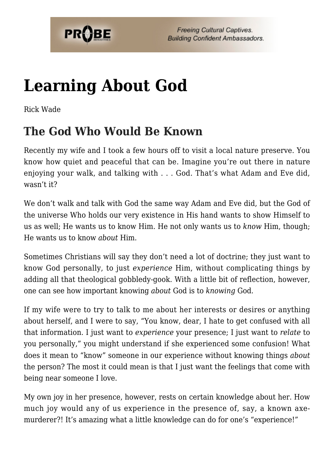

# **[Learning About God](https://probe.org/learning-about-god/)**

Rick Wade

## **The God Who Would Be Known**

Recently my wife and I took a few hours off to visit a local nature preserve. You know how quiet and peaceful that can be. Imagine you're out there in nature enjoying your walk, and talking with . . . God. That's what Adam and Eve did, wasn't it?

We don't walk and talk with God the same way Adam and Eve did, but the God of the universe Who holds our very existence in His hand wants to show Himself to us as well; He wants us to know Him. He not only wants us to *know* Him, though; He wants us to know *about* Him.

Sometimes Christians will say they don't need a lot of doctrine; they just want to know God personally, to just *experience* Him, without complicating things by adding all that theological gobbledy-gook. With a little bit of reflection, however, one can see how important knowing *about* God is to *knowing* God.

If my wife were to try to talk to me about her interests or desires or anything about herself, and I were to say, "You know, dear, I hate to get confused with all that information. I just want to *experience* your presence; I just want to *relate* to you personally," you might understand if she experienced some confusion! What does it mean to "know" someone in our experience without knowing things *about* the person? The most it could mean is that I just want the feelings that come with being near someone I love.

My own joy in her presence, however, rests on certain knowledge about her. How much joy would any of us experience in the presence of, say, a known axemurderer?! It's amazing what a little knowledge can do for one's "experience!"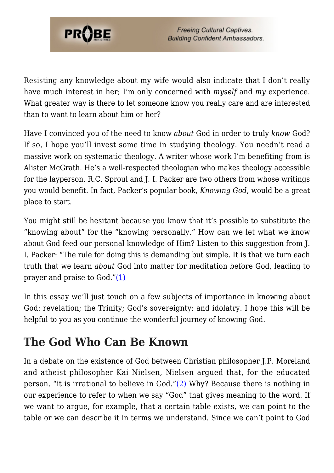

Resisting any knowledge about my wife would also indicate that I don't really have much interest in her; I'm only concerned with *myself* and *my* experience. What greater way is there to let someone know you really care and are interested than to want to learn about him or her?

Have I convinced you of the need to know *about* God in order to truly *know* God? If so, I hope you'll invest some time in studying theology. You needn't read a massive work on systematic theology. A writer whose work I'm benefiting from is Alister McGrath. He's a well-respected theologian who makes theology accessible for the layperson. R.C. Sproul and J. I. Packer are two others from whose writings you would benefit. In fact, Packer's popular book, *Knowing God*, would be a great place to start.

You might still be hesitant because you know that it's possible to substitute the "knowing about" for the "knowing personally." How can we let what we know about God feed our personal knowledge of Him? Listen to this suggestion from I. I. Packer: "The rule for doing this is demanding but simple. It is that we turn each truth that we learn *about* God into matter for meditation before God, leading to prayer and praise to  $God.'(1)$  $God.'(1)$ 

In this essay we'll just touch on a few subjects of importance in knowing about God: revelation; the Trinity; God's sovereignty; and idolatry. I hope this will be helpful to you as you continue the wonderful journey of knowing God.

### **The God Who Can Be Known**

In a debate on the existence of God between Christian philosopher J.P. Moreland and atheist philosopher Kai Nielsen, Nielsen argued that, for the educated person, "it is irrational to believe in God." $(2)$  Why? Because there is nothing in our experience to refer to when we say "God" that gives meaning to the word. If we want to argue, for example, that a certain table exists, we can point to the table or we can describe it in terms we understand. Since we can't point to God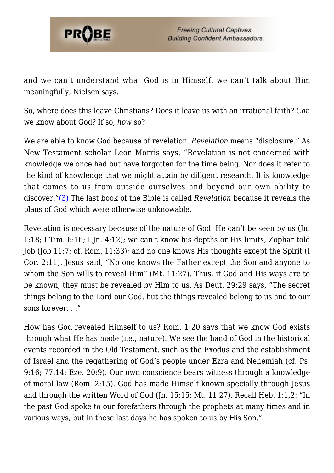

and we can't understand what God is in Himself, we can't talk about Him meaningfully, Nielsen says.

So, where does this leave Christians? Does it leave us with an irrational faith? *Can* we know about God? If so, *how* so?

We are able to know God because of revelation. *Revelation* means "disclosure." As New Testament scholar Leon Morris says, "Revelation is not concerned with knowledge we once had but have forgotten for the time being. Nor does it refer to the kind of knowledge that we might attain by diligent research. It is knowledge that comes to us from outside ourselves and beyond our own ability to discover."[\(3\)](#page-8-2) The last book of the Bible is called *Revelation* because it reveals the plans of God which were otherwise unknowable.

Revelation is necessary because of the nature of God. He can't be seen by us (Jn. 1:18; I Tim. 6:16; I Jn. 4:12); we can't know his depths or His limits, Zophar told Job (Job 11:7; cf. Rom. 11:33); and no one knows His thoughts except the Spirit (I Cor. 2:11). Jesus said, "No one knows the Father except the Son and anyone to whom the Son wills to reveal Him" (Mt. 11:27). Thus, if God and His ways are to be known, they must be revealed by Him to us. As Deut. 29:29 says, "The secret things belong to the Lord our God, but the things revealed belong to us and to our sons forever. . ."

How has God revealed Himself to us? Rom. 1:20 says that we know God exists through what He has made (i.e., nature). We see the hand of God in the historical events recorded in the Old Testament, such as the Exodus and the establishment of Israel and the regathering of God's people under Ezra and Nehemiah (cf. Ps. 9:16; 77:14; Eze. 20:9). Our own conscience bears witness through a knowledge of moral law (Rom. 2:15). God has made Himself known specially through Jesus and through the written Word of God (Jn. 15:15; Mt. 11:27). Recall Heb. 1:1,2: "In the past God spoke to our forefathers through the prophets at many times and in various ways, but in these last days he has spoken to us by His Son."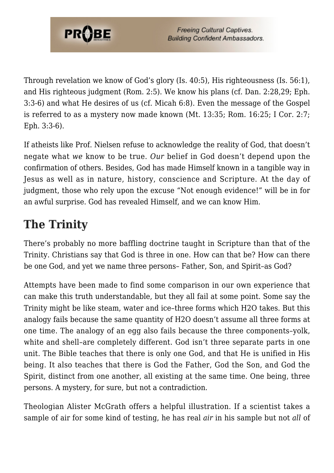

Through revelation we know of God's glory (Is. 40:5), His righteousness (Is. 56:1), and His righteous judgment (Rom. 2:5). We know his plans (cf. Dan. 2:28,29; Eph. 3:3-6) and what He desires of us (cf. Micah 6:8). Even the message of the Gospel is referred to as a mystery now made known (Mt. 13:35; Rom. 16:25; I Cor. 2:7; Eph. 3:3-6).

If atheists like Prof. Nielsen refuse to acknowledge the reality of God, that doesn't negate what *we* know to be true. *Our* belief in God doesn't depend upon the confirmation of others. Besides, God has made Himself known in a tangible way in Jesus as well as in nature, history, conscience and Scripture. At the day of judgment, those who rely upon the excuse "Not enough evidence!" will be in for an awful surprise. God has revealed Himself, and we can know Him.

# **The Trinity**

There's probably no more baffling doctrine taught in Scripture than that of the Trinity. Christians say that God is three in one. How can that be? How can there be one God, and yet we name three persons– Father, Son, and Spirit–as God?

Attempts have been made to find some comparison in our own experience that can make this truth understandable, but they all fail at some point. Some say the Trinity might be like steam, water and ice–three forms which H2O takes. But this analogy fails because the same quantity of H2O doesn't assume all three forms at one time. The analogy of an egg also fails because the three components–yolk, white and shell–are completely different. God isn't three separate parts in one unit. The Bible teaches that there is only one God, and that He is unified in His being. It also teaches that there is God the Father, God the Son, and God the Spirit, distinct from one another, all existing at the same time. One being, three persons. A mystery, for sure, but not a contradiction.

Theologian Alister McGrath offers a helpful illustration. If a scientist takes a sample of air for some kind of testing, he has real *air* in his sample but not *all* of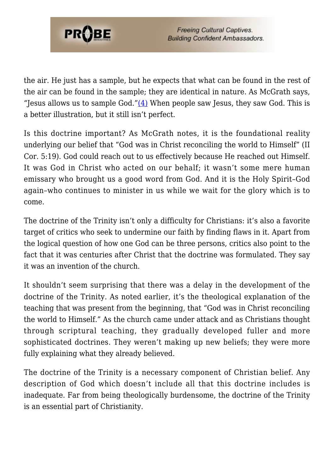

the air. He just has a sample, but he expects that what can be found in the rest of the air can be found in the sample; they are identical in nature. As McGrath says, "Jesus allows us to sample God." $(4)$  When people saw Jesus, they saw God. This is a better illustration, but it still isn't perfect.

Is this doctrine important? As McGrath notes, it is the foundational reality underlying our belief that "God was in Christ reconciling the world to Himself" (II Cor. 5:19). God could reach out to us effectively because He reached out Himself. It was God in Christ who acted on our behalf; it wasn't some mere human emissary who brought us a good word from God. And it is the Holy Spirit–God again–who continues to minister in us while we wait for the glory which is to come.

The doctrine of the Trinity isn't only a difficulty for Christians: it's also a favorite target of critics who seek to undermine our faith by finding flaws in it. Apart from the logical question of how one God can be three persons, critics also point to the fact that it was centuries after Christ that the doctrine was formulated. They say it was an invention of the church.

It shouldn't seem surprising that there was a delay in the development of the doctrine of the Trinity. As noted earlier, it's the theological explanation of the teaching that was present from the beginning, that "God was in Christ reconciling the world to Himself." As the church came under attack and as Christians thought through scriptural teaching, they gradually developed fuller and more sophisticated doctrines. They weren't making up new beliefs; they were more fully explaining what they already believed.

The doctrine of the Trinity is a necessary component of Christian belief. Any description of God which doesn't include all that this doctrine includes is inadequate. Far from being theologically burdensome, the doctrine of the Trinity is an essential part of Christianity.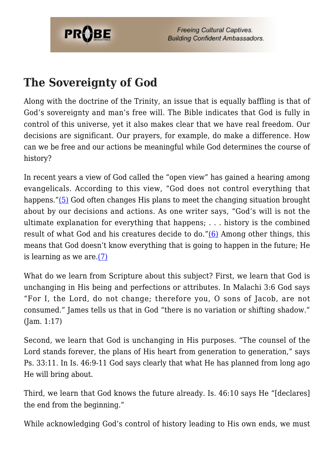

## **The Sovereignty of God**

Along with the doctrine of the Trinity, an issue that is equally baffling is that of God's sovereignty and man's free will. The Bible indicates that God is fully in control of this universe, yet it also makes clear that we have real freedom. Our decisions are significant. Our prayers, for example, do make a difference. How can we be free and our actions be meaningful while God determines the course of history?

In recent years a view of God called the "open view" has gained a hearing among evangelicals. According to this view, "God does not control everything that happens."[\(5\)](#page-8-4) God often changes His plans to meet the changing situation brought about by our decisions and actions. As one writer says, "God's will is not the ultimate explanation for everything that happens; . . . history is the combined result of what God and his creatures decide to do."[\(6\)](#page-8-5) Among other things, this means that God doesn't know everything that is going to happen in the future; He is learning as we are. $(7)$ 

What do we learn from Scripture about this subject? First, we learn that God is unchanging in His being and perfections or attributes. In Malachi 3:6 God says "For I, the Lord, do not change; therefore you, O sons of Jacob, are not consumed." James tells us that in God "there is no variation or shifting shadow." (Jam. 1:17)

Second, we learn that God is unchanging in His purposes. "The counsel of the Lord stands forever, the plans of His heart from generation to generation," says Ps. 33:11. In Is. 46:9-11 God says clearly that what He has planned from long ago He will bring about.

Third, we learn that God knows the future already. Is. 46:10 says He "[declares] the end from the beginning."

While acknowledging God's control of history leading to His own ends, we must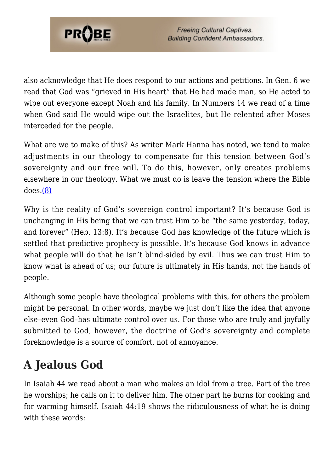

also acknowledge that He does respond to our actions and petitions. In Gen. 6 we read that God was "grieved in His heart" that He had made man, so He acted to wipe out everyone except Noah and his family. In Numbers 14 we read of a time when God said He would wipe out the Israelites, but He relented after Moses interceded for the people.

What are we to make of this? As writer Mark Hanna has noted, we tend to make adjustments in our theology to compensate for this tension between God's sovereignty and our free will. To do this, however, only creates problems elsewhere in our theology. What we must do is leave the tension where the Bible does.[\(8\)](#page-8-7)

Why is the reality of God's sovereign control important? It's because God is unchanging in His being that we can trust Him to be "the same yesterday, today, and forever" (Heb. 13:8). It's because God has knowledge of the future which is settled that predictive prophecy is possible. It's because God knows in advance what people will do that he isn't blind-sided by evil. Thus we can trust Him to know what is ahead of us; our future is ultimately in His hands, not the hands of people.

Although some people have theological problems with this, for others the problem might be personal. In other words, maybe we just don't like the idea that anyone else–even God–has ultimate control over us. For those who are truly and joyfully submitted to God, however, the doctrine of God's sovereignty and complete foreknowledge is a source of comfort, not of annoyance.

# **A Jealous God**

In Isaiah 44 we read about a man who makes an idol from a tree. Part of the tree he worships; he calls on it to deliver him. The other part he burns for cooking and for warming himself. Isaiah 44:19 shows the ridiculousness of what he is doing with these words: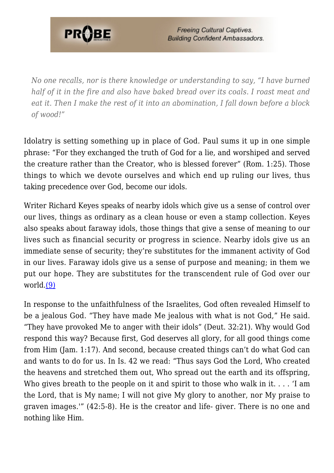

*No one recalls, nor is there knowledge or understanding to say, "I have burned half of it in the fire and also have baked bread over its coals. I roast meat and eat it. Then I make the rest of it into an abomination, I fall down before a block of wood!"*

Idolatry is setting something up in place of God. Paul sums it up in one simple phrase: "For they exchanged the truth of God for a lie, and worshiped and served the creature rather than the Creator, who is blessed forever" (Rom. 1:25). Those things to which we devote ourselves and which end up ruling our lives, thus taking precedence over God, become our idols.

Writer Richard Keyes speaks of nearby idols which give us a sense of control over our lives, things as ordinary as a clean house or even a stamp collection. Keyes also speaks about faraway idols, those things that give a sense of meaning to our lives such as financial security or progress in science. Nearby idols give us an immediate sense of security; they're substitutes for the immanent activity of God in our lives. Faraway idols give us a sense of purpose and meaning; in them we put our hope. They are substitutes for the transcendent rule of God over our world.[\(9\)](#page-8-8)

In response to the unfaithfulness of the Israelites, God often revealed Himself to be a jealous God. "They have made Me jealous with what is not God," He said. "They have provoked Me to anger with their idols" (Deut. 32:21). Why would God respond this way? Because first, God deserves all glory, for all good things come from Him (Jam. 1:17). And second, because created things can't do what God can and wants to do for us. In Is. 42 we read: "Thus says God the Lord, Who created the heavens and stretched them out, Who spread out the earth and its offspring, Who gives breath to the people on it and spirit to those who walk in it.... T am the Lord, that is My name; I will not give My glory to another, nor My praise to graven images.'" (42:5-8). He is the creator and life- giver. There is no one and nothing like Him.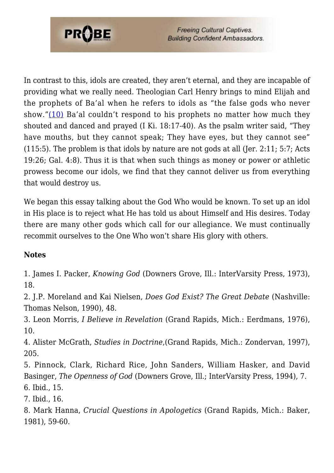

In contrast to this, idols are created, they aren't eternal, and they are incapable of providing what we really need. Theologian Carl Henry brings to mind Elijah and the prophets of Ba'al when he refers to idols as "the false gods who never show."[\(10\)](#page-9-0) Ba'al couldn't respond to his prophets no matter how much they shouted and danced and prayed (I Ki. 18:17-40). As the psalm writer said, "They have mouths, but they cannot speak; They have eyes, but they cannot see" (115:5). The problem is that idols by nature are not gods at all (Jer. 2:11; 5:7; Acts 19:26; Gal. 4:8). Thus it is that when such things as money or power or athletic prowess become our idols, we find that they cannot deliver us from everything that would destroy us.

We began this essay talking about the God Who would be known. To set up an idol in His place is to reject what He has told us about Himself and His desires. Today there are many other gods which call for our allegiance. We must continually recommit ourselves to the One Who won't share His glory with others.

#### **Notes**

<span id="page-8-0"></span>1. James I. Packer, *Knowing God* (Downers Grove, Ill.: InterVarsity Press, 1973), 18.

<span id="page-8-1"></span>2. J.P. Moreland and Kai Nielsen, *Does God Exist? The Great Debate* (Nashville: Thomas Nelson, 1990), 48.

<span id="page-8-2"></span>3. Leon Morris, *I Believe in Revelation* (Grand Rapids, Mich.: Eerdmans, 1976), 10.

<span id="page-8-3"></span>4. Alister McGrath, *Studies in Doctrine*,(Grand Rapids, Mich.: Zondervan, 1997), 205.

<span id="page-8-4"></span>5. Pinnock, Clark, Richard Rice, John Sanders, William Hasker, and David Basinger, *The Openness of God* (Downers Grove, Ill.; InterVarsity Press, 1994), 7. 6. Ibid., 15.

<span id="page-8-6"></span><span id="page-8-5"></span>7. Ibid., 16.

<span id="page-8-8"></span><span id="page-8-7"></span>8. Mark Hanna, *Crucial Questions in Apologetics* (Grand Rapids, Mich.: Baker, 1981), 59-60.